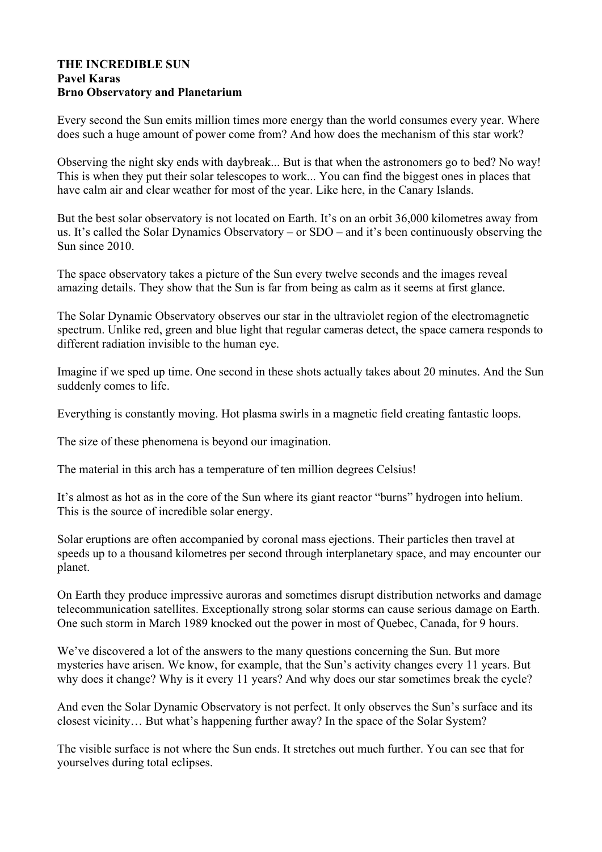## **THE INCREDIBLE SUN Pavel Karas Brno Observatory and Planetarium**

Every second the Sun emits million times more energy than the world consumes every year. Where does such a huge amount of power come from? And how does the mechanism of this star work?

Observing the night sky ends with daybreak... But is that when the astronomers go to bed? No way! This is when they put their solar telescopes to work... You can find the biggest ones in places that have calm air and clear weather for most of the year. Like here, in the Canary Islands.

But the best solar observatory is not located on Earth. It's on an orbit 36,000 kilometres away from us. It's called the Solar Dynamics Observatory – or SDO – and it's been continuously observing the Sun since 2010.

The space observatory takes a picture of the Sun every twelve seconds and the images reveal amazing details. They show that the Sun is far from being as calm as it seems at first glance.

The Solar Dynamic Observatory observes our star in the ultraviolet region of the electromagnetic spectrum. Unlike red, green and blue light that regular cameras detect, the space camera responds to different radiation invisible to the human eye.

Imagine if we sped up time. One second in these shots actually takes about 20 minutes. And the Sun suddenly comes to life.

Everything is constantly moving. Hot plasma swirls in a magnetic field creating fantastic loops.

The size of these phenomena is beyond our imagination.

The material in this arch has a temperature of ten million degrees Celsius!

It's almost as hot as in the core of the Sun where its giant reactor "burns" hydrogen into helium. This is the source of incredible solar energy.

Solar eruptions are often accompanied by coronal mass ejections. Their particles then travel at speeds up to a thousand kilometres per second through interplanetary space, and may encounter our planet.

On Earth they produce impressive auroras and sometimes disrupt distribution networks and damage telecommunication satellites. Exceptionally strong solar storms can cause serious damage on Earth. One such storm in March 1989 knocked out the power in most of Quebec, Canada, for 9 hours.

We've discovered a lot of the answers to the many questions concerning the Sun. But more mysteries have arisen. We know, for example, that the Sun's activity changes every 11 years. But why does it change? Why is it every 11 years? And why does our star sometimes break the cycle?

And even the Solar Dynamic Observatory is not perfect. It only observes the Sun's surface and its closest vicinity… But what's happening further away? In the space of the Solar System?

The visible surface is not where the Sun ends. It stretches out much further. You can see that for yourselves during total eclipses.